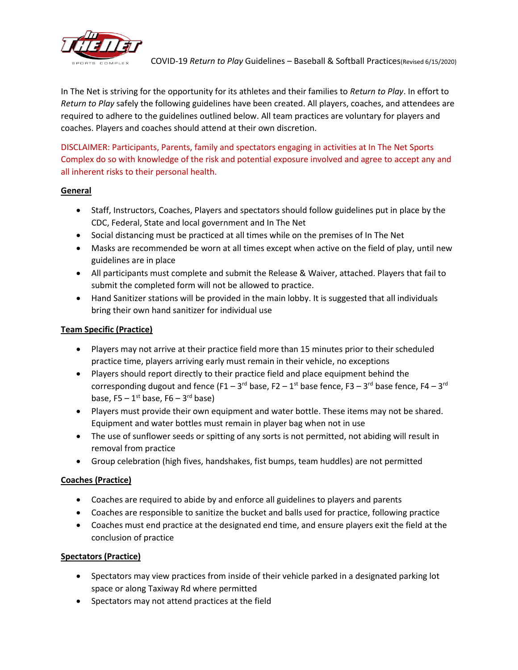

In The Net is striving for the opportunity for its athletes and their families to *Return to Play*. In effort to *Return to Play* safely the following guidelines have been created. All players, coaches, and attendees are required to adhere to the guidelines outlined below. All team practices are voluntary for players and coaches. Players and coaches should attend at their own discretion.

DISCLAIMER: Participants, Parents, family and spectators engaging in activities at In The Net Sports Complex do so with knowledge of the risk and potential exposure involved and agree to accept any and all inherent risks to their personal health.

# **General**

- Staff, Instructors, Coaches, Players and spectators should follow guidelines put in place by the CDC, Federal, State and local government and In The Net
- Social distancing must be practiced at all times while on the premises of In The Net
- Masks are recommended be worn at all times except when active on the field of play, until new guidelines are in place
- All participants must complete and submit the Release & Waiver, attached. Players that fail to submit the completed form will not be allowed to practice.
- Hand Sanitizer stations will be provided in the main lobby. It is suggested that all individuals bring their own hand sanitizer for individual use

# **Team Specific (Practice)**

- Players may not arrive at their practice field more than 15 minutes prior to their scheduled practice time, players arriving early must remain in their vehicle, no exceptions
- Players should report directly to their practice field and place equipment behind the corresponding dugout and fence (F1 – 3<sup>rd</sup> base, F2 – 1<sup>st</sup> base fence, F3 – 3<sup>rd</sup> base fence, F4 – 3<sup>rd</sup> base, F5  $-1^{\rm st}$  base, F6  $-$  3<sup>rd</sup> base)
- Players must provide their own equipment and water bottle. These items may not be shared. Equipment and water bottles must remain in player bag when not in use
- The use of sunflower seeds or spitting of any sorts is not permitted, not abiding will result in removal from practice
- Group celebration (high fives, handshakes, fist bumps, team huddles) are not permitted

# **Coaches (Practice)**

- Coaches are required to abide by and enforce all guidelines to players and parents
- Coaches are responsible to sanitize the bucket and balls used for practice, following practice
- Coaches must end practice at the designated end time, and ensure players exit the field at the conclusion of practice

# **Spectators (Practice)**

- Spectators may view practices from inside of their vehicle parked in a designated parking lot space or along Taxiway Rd where permitted
- Spectators may not attend practices at the field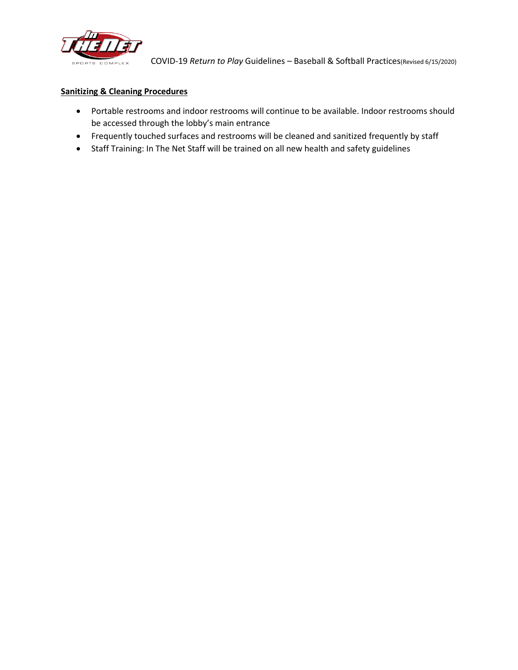

#### **Sanitizing & Cleaning Procedures**

- Portable restrooms and indoor restrooms will continue to be available. Indoor restrooms should be accessed through the lobby's main entrance
- Frequently touched surfaces and restrooms will be cleaned and sanitized frequently by staff
- Staff Training: In The Net Staff will be trained on all new health and safety guidelines